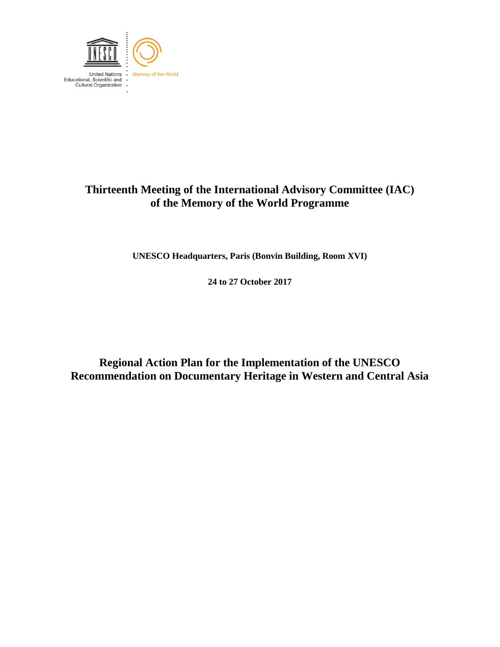

## **Thirteenth Meeting of the International Advisory Committee (IAC) of the Memory of the World Programme**

**UNESCO Headquarters, Paris (Bonvin Building, Room XVI)**

**24 to 27 October 2017**

**Regional Action Plan for the Implementation of the UNESCO Recommendation on Documentary Heritage in Western and Central Asia**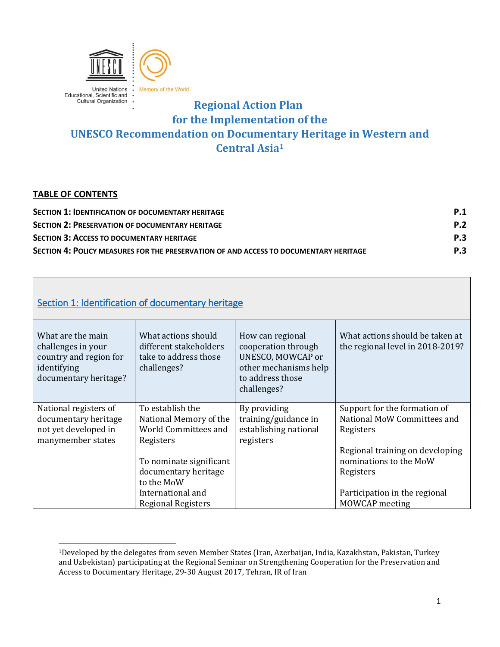

## **Regional Action Plan for the Implementation of the UNESCO Recommendation on Documentary Heritage in Western and Central Asia<sup>1</sup>**

## <span id="page-1-1"></span>**TABLE OF CONTENTS**

 $\overline{a}$ 

| <b>SECTION 1: IDENTIFICATION OF DOCUMENTARY HERITAGE</b>                              | P.1        |
|---------------------------------------------------------------------------------------|------------|
| <b>SECTION 2: PRESERVATION OF DOCUMENTARY HERITAGE</b>                                | <b>P.2</b> |
| <b>SECTION 3: ACCESS TO DOCUMENTARY HERITAGE</b>                                      | <b>P.3</b> |
| SECTION 4: POLICY MEASURES FOR THE PRESERVATION OF AND ACCESS TO DOCUMENTARY HERITAGE | <b>P.3</b> |

<span id="page-1-0"></span>

| Section 1: Identification of documentary heritage                                                         |                                                                                                                                                  |                                                                                                                          |                                                                                                                                                    |
|-----------------------------------------------------------------------------------------------------------|--------------------------------------------------------------------------------------------------------------------------------------------------|--------------------------------------------------------------------------------------------------------------------------|----------------------------------------------------------------------------------------------------------------------------------------------------|
| What are the main<br>challenges in your<br>country and region for<br>identifying<br>documentary heritage? | What actions should<br>different stakeholders<br>take to address those<br>challenges?                                                            | How can regional<br>cooperation through<br>UNESCO, MOWCAP or<br>other mechanisms help<br>to address those<br>challenges? | What actions should be taken at<br>the regional level in 2018-2019?                                                                                |
| National registers of<br>documentary heritage<br>not yet developed in<br>manymember states                | To establish the<br>National Memory of the<br>World Committees and<br>Registers<br>To nominate significant<br>documentary heritage<br>to the MoW | By providing<br>training/guidance in<br>establishing national<br>registers                                               | Support for the formation of<br>National MoW Committees and<br>Registers<br>Regional training on developing<br>nominations to the MoW<br>Registers |
|                                                                                                           | International and<br><b>Regional Registers</b>                                                                                                   |                                                                                                                          | Participation in the regional<br><b>MOWCAP</b> meeting                                                                                             |

<sup>1</sup>Developed by the delegates from seven Member States (Iran, Azerbaijan, India, Kazakhstan, Pakistan, Turkey and Uzbekistan) participating at the Regional Seminar on Strengthening Cooperation for the Preservation and Access to Documentary Heritage, 29-30 August 2017, Tehran, IR of Iran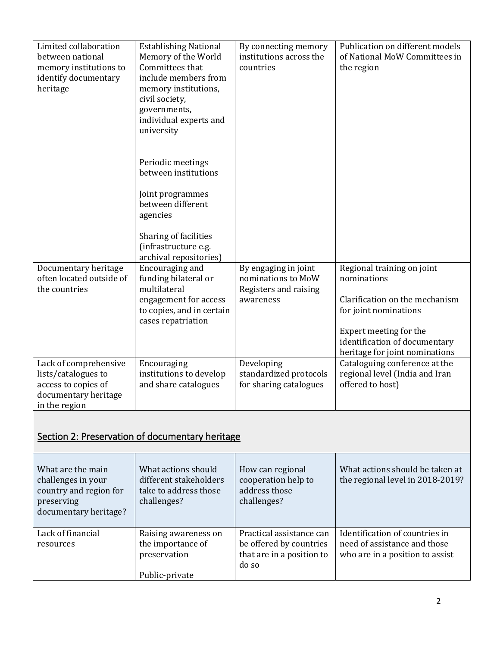| Limited collaboration<br>between national<br>memory institutions to<br>identify documentary<br>heritage      | <b>Establishing National</b><br>Memory of the World<br>Committees that<br>include members from<br>memory institutions,<br>civil society,<br>governments,<br>individual experts and<br>university | By connecting memory<br>institutions across the<br>countries                     | Publication on different models<br>of National MoW Committees in<br>the region                                                                                                                    |
|--------------------------------------------------------------------------------------------------------------|--------------------------------------------------------------------------------------------------------------------------------------------------------------------------------------------------|----------------------------------------------------------------------------------|---------------------------------------------------------------------------------------------------------------------------------------------------------------------------------------------------|
|                                                                                                              | Periodic meetings<br>between institutions                                                                                                                                                        |                                                                                  |                                                                                                                                                                                                   |
|                                                                                                              | Joint programmes<br>between different<br>agencies                                                                                                                                                |                                                                                  |                                                                                                                                                                                                   |
|                                                                                                              | Sharing of facilities<br>(infrastructure e.g.<br>archival repositories)                                                                                                                          |                                                                                  |                                                                                                                                                                                                   |
| Documentary heritage<br>often located outside of<br>the countries                                            | Encouraging and<br>funding bilateral or<br>multilateral<br>engagement for access<br>to copies, and in certain<br>cases repatriation                                                              | By engaging in joint<br>nominations to MoW<br>Registers and raising<br>awareness | Regional training on joint<br>nominations<br>Clarification on the mechanism<br>for joint nominations<br>Expert meeting for the<br>identification of documentary<br>heritage for joint nominations |
| Lack of comprehensive<br>lists/catalogues to<br>access to copies of<br>documentary heritage<br>in the region | Encouraging<br>institutions to develop<br>and share catalogues                                                                                                                                   | Developing<br>standardized protocols<br>for sharing catalogues                   | Cataloguing conference at the<br>regional level (India and Iran<br>offered to host)                                                                                                               |
| Section 2: Preservation of documentary heritage                                                              |                                                                                                                                                                                                  |                                                                                  |                                                                                                                                                                                                   |
| What are the main<br>challenges in your<br>country and region for<br>preserving<br>documentary heritage?     | What actions should<br>different stakeholders<br>take to address those<br>challenges?                                                                                                            | How can regional<br>cooperation help to<br>address those<br>challenges?          | What actions should be taken at<br>the regional level in 2018-2019?                                                                                                                               |

<span id="page-2-0"></span>

| $\alpha$          |                                   |                                                               |                                                                 |
|-------------------|-----------------------------------|---------------------------------------------------------------|-----------------------------------------------------------------|
| Lack of financial | Raising awareness on              | Practical assistance can                                      | Identification of countries in                                  |
| resources         | the importance of<br>preservation | be offered by countries<br>that are in a position to<br>do so | need of assistance and those<br>who are in a position to assist |
|                   | Public-private                    |                                                               |                                                                 |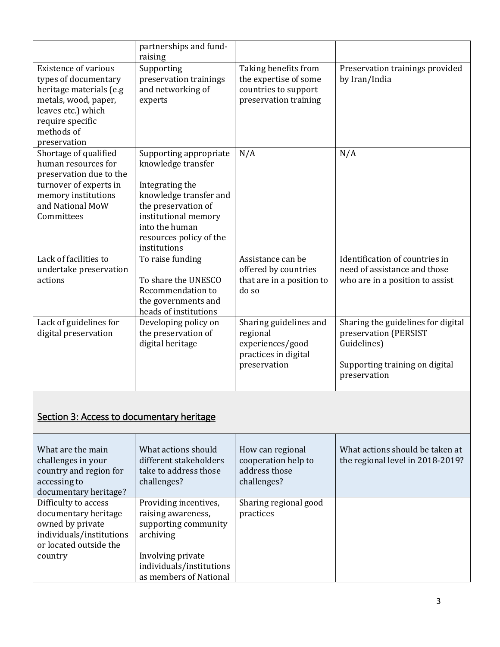<span id="page-3-0"></span>

|                                                                                                                                                                                | partnerships and fund-<br>raising                                                                                                                                                                     |                                                                                                |                                                                                                                              |  |
|--------------------------------------------------------------------------------------------------------------------------------------------------------------------------------|-------------------------------------------------------------------------------------------------------------------------------------------------------------------------------------------------------|------------------------------------------------------------------------------------------------|------------------------------------------------------------------------------------------------------------------------------|--|
| <b>Existence of various</b><br>types of documentary<br>heritage materials (e.g<br>metals, wood, paper,<br>leaves etc.) which<br>require specific<br>methods of<br>preservation | Supporting<br>preservation trainings<br>and networking of<br>experts                                                                                                                                  | Taking benefits from<br>the expertise of some<br>countries to support<br>preservation training | Preservation trainings provided<br>by Iran/India                                                                             |  |
| Shortage of qualified<br>human resources for<br>preservation due to the<br>turnover of experts in<br>memory institutions<br>and National MoW<br>Committees                     | Supporting appropriate<br>knowledge transfer<br>Integrating the<br>knowledge transfer and<br>the preservation of<br>institutional memory<br>into the human<br>resources policy of the<br>institutions | N/A                                                                                            | N/A                                                                                                                          |  |
| Lack of facilities to<br>undertake preservation<br>actions                                                                                                                     | To raise funding<br>To share the UNESCO<br>Recommendation to<br>the governments and<br>heads of institutions                                                                                          | Assistance can be<br>offered by countries<br>that are in a position to<br>do so                | Identification of countries in<br>need of assistance and those<br>who are in a position to assist                            |  |
| Lack of guidelines for<br>digital preservation                                                                                                                                 | Developing policy on<br>the preservation of<br>digital heritage                                                                                                                                       | Sharing guidelines and<br>regional<br>experiences/good<br>practices in digital<br>preservation | Sharing the guidelines for digital<br>preservation (PERSIST<br>Guidelines)<br>Supporting training on digital<br>preservation |  |
| Section 3: Access to documentary heritage                                                                                                                                      |                                                                                                                                                                                                       |                                                                                                |                                                                                                                              |  |
| What are the main<br>challenges in your<br>country and region for<br>accessing to<br>documentary heritage?                                                                     | What actions should<br>different stakeholders<br>take to address those<br>challenges?                                                                                                                 | How can regional<br>cooperation help to<br>address those<br>challenges?                        | What actions should be taken at<br>the regional level in 2018-2019?                                                          |  |
| Difficulty to access<br>documentary heritage<br>owned by private<br>individuals/institutions<br>or located outside the<br>country                                              | Providing incentives,<br>raising awareness,<br>supporting community<br>archiving<br>Involving private<br>individuals/institutions<br>as members of National                                           | Sharing regional good<br>practices                                                             |                                                                                                                              |  |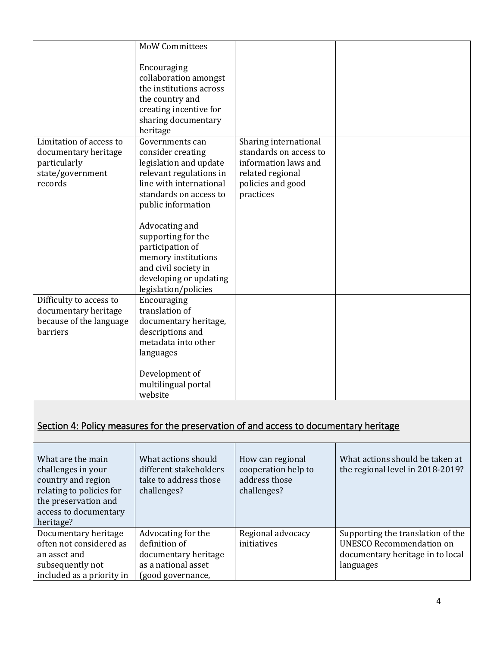|                                               | <b>MoW Committees</b>                             |                                                                                       |                                   |
|-----------------------------------------------|---------------------------------------------------|---------------------------------------------------------------------------------------|-----------------------------------|
|                                               | Encouraging                                       |                                                                                       |                                   |
|                                               | collaboration amongst                             |                                                                                       |                                   |
|                                               | the institutions across                           |                                                                                       |                                   |
|                                               | the country and<br>creating incentive for         |                                                                                       |                                   |
|                                               | sharing documentary                               |                                                                                       |                                   |
|                                               | heritage                                          |                                                                                       |                                   |
| Limitation of access to                       | Governments can                                   | Sharing international                                                                 |                                   |
| documentary heritage                          | consider creating                                 | standards on access to<br>information laws and                                        |                                   |
| particularly<br>state/government              | legislation and update<br>relevant regulations in | related regional                                                                      |                                   |
| records                                       | line with international                           | policies and good                                                                     |                                   |
|                                               | standards on access to                            | practices                                                                             |                                   |
|                                               | public information                                |                                                                                       |                                   |
|                                               | Advocating and                                    |                                                                                       |                                   |
|                                               | supporting for the                                |                                                                                       |                                   |
|                                               | participation of                                  |                                                                                       |                                   |
|                                               | memory institutions                               |                                                                                       |                                   |
|                                               | and civil society in<br>developing or updating    |                                                                                       |                                   |
|                                               | legislation/policies                              |                                                                                       |                                   |
| Difficulty to access to                       | Encouraging                                       |                                                                                       |                                   |
| documentary heritage                          | translation of                                    |                                                                                       |                                   |
| because of the language<br>barriers           | documentary heritage,<br>descriptions and         |                                                                                       |                                   |
|                                               | metadata into other                               |                                                                                       |                                   |
|                                               | languages                                         |                                                                                       |                                   |
|                                               | Development of                                    |                                                                                       |                                   |
|                                               | multilingual portal                               |                                                                                       |                                   |
|                                               | website                                           |                                                                                       |                                   |
|                                               |                                                   |                                                                                       |                                   |
|                                               |                                                   | Section 4: Policy measures for the preservation of and access to documentary heritage |                                   |
|                                               |                                                   |                                                                                       |                                   |
| What are the main                             | What actions should                               | How can regional                                                                      | What actions should be taken at   |
| challenges in your                            | different stakeholders                            | cooperation help to                                                                   | the regional level in 2018-2019?  |
| country and region                            | take to address those                             | address those                                                                         |                                   |
| relating to policies for                      | challenges?                                       | challenges?                                                                           |                                   |
| the preservation and                          |                                                   |                                                                                       |                                   |
| access to documentary<br>heritage?            |                                                   |                                                                                       |                                   |
| Documentary heritage                          | Advocating for the                                | Regional advocacy                                                                     | Supporting the translation of the |
| often not considered as                       | definition of                                     | initiatives                                                                           | <b>UNESCO Recommendation on</b>   |
| an asset and                                  | documentary heritage                              |                                                                                       | documentary heritage in to local  |
| subsequently not<br>included as a priority in | as a national asset                               |                                                                                       | languages                         |
|                                               | (good governance,                                 |                                                                                       |                                   |